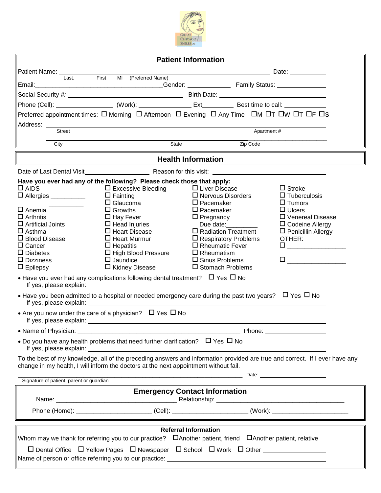

| <b>Patient Information</b>                                                                                                                                                                                          |                                                                                                                                                                                                                                |                                                  |                                                                                                                       |  |  |  |  |
|---------------------------------------------------------------------------------------------------------------------------------------------------------------------------------------------------------------------|--------------------------------------------------------------------------------------------------------------------------------------------------------------------------------------------------------------------------------|--------------------------------------------------|-----------------------------------------------------------------------------------------------------------------------|--|--|--|--|
| Patient Name: 1997                                                                                                                                                                                                  |                                                                                                                                                                                                                                |                                                  | <u>Date: Expanding the Second Contract Contract Contract Contract Contract Contract Contract Contract Contract Co</u> |  |  |  |  |
| First<br>Last.<br>Email:                                                                                                                                                                                            | MI (Preferred Name)                                                                                                                                                                                                            |                                                  |                                                                                                                       |  |  |  |  |
|                                                                                                                                                                                                                     | Social Security #: Notice of the Contract of Birth Date: Notice of Birth Date: Note: Note: Note: Note: Note: Note: Note: Note: Note: Note: Note: Note: Note: Note: Note: Note: Note: Note: Note: Note: Note: Note: Note: Note: |                                                  |                                                                                                                       |  |  |  |  |
|                                                                                                                                                                                                                     |                                                                                                                                                                                                                                |                                                  |                                                                                                                       |  |  |  |  |
| Preferred appointment times: $\Box$ Morning $\Box$ Afternoon $\Box$ Evening $\Box$ Any Time $\Box$ M $\Box$ T $\Box$ W $\Box$ T $\Box$ F $\Box$ S                                                                   |                                                                                                                                                                                                                                |                                                  |                                                                                                                       |  |  |  |  |
| Address:                                                                                                                                                                                                            |                                                                                                                                                                                                                                |                                                  |                                                                                                                       |  |  |  |  |
| <b>Street</b>                                                                                                                                                                                                       |                                                                                                                                                                                                                                | Apartment #                                      |                                                                                                                       |  |  |  |  |
| City                                                                                                                                                                                                                | State                                                                                                                                                                                                                          | Zip Code                                         |                                                                                                                       |  |  |  |  |
| <b>Health Information</b>                                                                                                                                                                                           |                                                                                                                                                                                                                                |                                                  |                                                                                                                       |  |  |  |  |
|                                                                                                                                                                                                                     |                                                                                                                                                                                                                                |                                                  |                                                                                                                       |  |  |  |  |
| $\Box$ AIDS                                                                                                                                                                                                         | Have you ever had any of the following? Please check those that apply:<br>$\Box$ Excessive Bleeding                                                                                                                            | $\Box$ Liver Disease<br>$\Box$ Nervous Disorders | $\Box$ Stroke<br>$\Box$ Tuberculosis                                                                                  |  |  |  |  |
| $\Box$ Allergies ___________                                                                                                                                                                                        | $\Box$ Fainting<br>$\Box$ Glaucoma                                                                                                                                                                                             | $\square$ Pacemaker                              | $\Box$ Tumors                                                                                                         |  |  |  |  |
| $\square$ Anemia                                                                                                                                                                                                    | $\Box$ Growths                                                                                                                                                                                                                 | $\Box$ Pacemaker                                 | $\Box$ Ulcers                                                                                                         |  |  |  |  |
| $\Box$ Arthritis<br>$\square$ Artificial Joints                                                                                                                                                                     | $\Box$ Hay Fever                                                                                                                                                                                                               | $\Box$ Pregnancy                                 | □ Venereal Disease                                                                                                    |  |  |  |  |
| $\Box$ Asthma                                                                                                                                                                                                       | $\Box$ Head Injuries<br>$\Box$ Heart Disease                                                                                                                                                                                   | Due date:<br>$\Box$ Radiation Treatment          | $\Box$ Codeine Allergy<br>$\square$ Penicillin Allergy                                                                |  |  |  |  |
| $\Box$ Blood Disease                                                                                                                                                                                                | $\Box$ Heart Murmur                                                                                                                                                                                                            | $\Box$ Respiratory Problems                      | OTHER:                                                                                                                |  |  |  |  |
| $\Box$ Cancer                                                                                                                                                                                                       | $\Box$ Hepatitis                                                                                                                                                                                                               | $\Box$ Rheumatic Fever                           |                                                                                                                       |  |  |  |  |
| $\Box$ Diabetes                                                                                                                                                                                                     | $\Box$ High Blood Pressure                                                                                                                                                                                                     | $\Box$ Rheumatism                                |                                                                                                                       |  |  |  |  |
| $\Box$ Dizziness<br>$\Box$ Epilepsy                                                                                                                                                                                 | $\Box$ Jaundice<br>$\Box$ Kidney Disease                                                                                                                                                                                       | $\Box$ Sinus Problems<br>□ Stomach Problems      | $\Box$ and the set of $\Box$ and $\Box$                                                                               |  |  |  |  |
| • Have you ever had any complications following dental treatment? $\Box$ Yes $\Box$ No                                                                                                                              |                                                                                                                                                                                                                                |                                                  |                                                                                                                       |  |  |  |  |
| • Have you been admitted to a hospital or needed emergency care during the past two years? $\Box$ Yes $\Box$ No                                                                                                     |                                                                                                                                                                                                                                |                                                  |                                                                                                                       |  |  |  |  |
| • Are you now under the care of a physician? $\Box$ Yes $\Box$ No                                                                                                                                                   |                                                                                                                                                                                                                                |                                                  |                                                                                                                       |  |  |  |  |
| • Name of Physician:<br>Phone:                                                                                                                                                                                      |                                                                                                                                                                                                                                |                                                  |                                                                                                                       |  |  |  |  |
| • Do you have any health problems that need further clarification? $\Box$ Yes $\Box$ No                                                                                                                             |                                                                                                                                                                                                                                |                                                  |                                                                                                                       |  |  |  |  |
| To the best of my knowledge, all of the preceding answers and information provided are true and correct. If I ever have any<br>change in my health, I will inform the doctors at the next appointment without fail. |                                                                                                                                                                                                                                |                                                  |                                                                                                                       |  |  |  |  |
| Signature of patient, parent or guardian                                                                                                                                                                            |                                                                                                                                                                                                                                |                                                  |                                                                                                                       |  |  |  |  |
| <b>Emergency Contact Information</b>                                                                                                                                                                                |                                                                                                                                                                                                                                |                                                  |                                                                                                                       |  |  |  |  |
|                                                                                                                                                                                                                     |                                                                                                                                                                                                                                |                                                  |                                                                                                                       |  |  |  |  |
|                                                                                                                                                                                                                     |                                                                                                                                                                                                                                |                                                  |                                                                                                                       |  |  |  |  |
| <b>Referral Information</b>                                                                                                                                                                                         |                                                                                                                                                                                                                                |                                                  |                                                                                                                       |  |  |  |  |
| Whom may we thank for referring you to our practice? $\Box$ Another patient, friend $\Box$ Another patient, relative                                                                                                |                                                                                                                                                                                                                                |                                                  |                                                                                                                       |  |  |  |  |
|                                                                                                                                                                                                                     |                                                                                                                                                                                                                                |                                                  |                                                                                                                       |  |  |  |  |
|                                                                                                                                                                                                                     |                                                                                                                                                                                                                                |                                                  |                                                                                                                       |  |  |  |  |
|                                                                                                                                                                                                                     |                                                                                                                                                                                                                                |                                                  |                                                                                                                       |  |  |  |  |